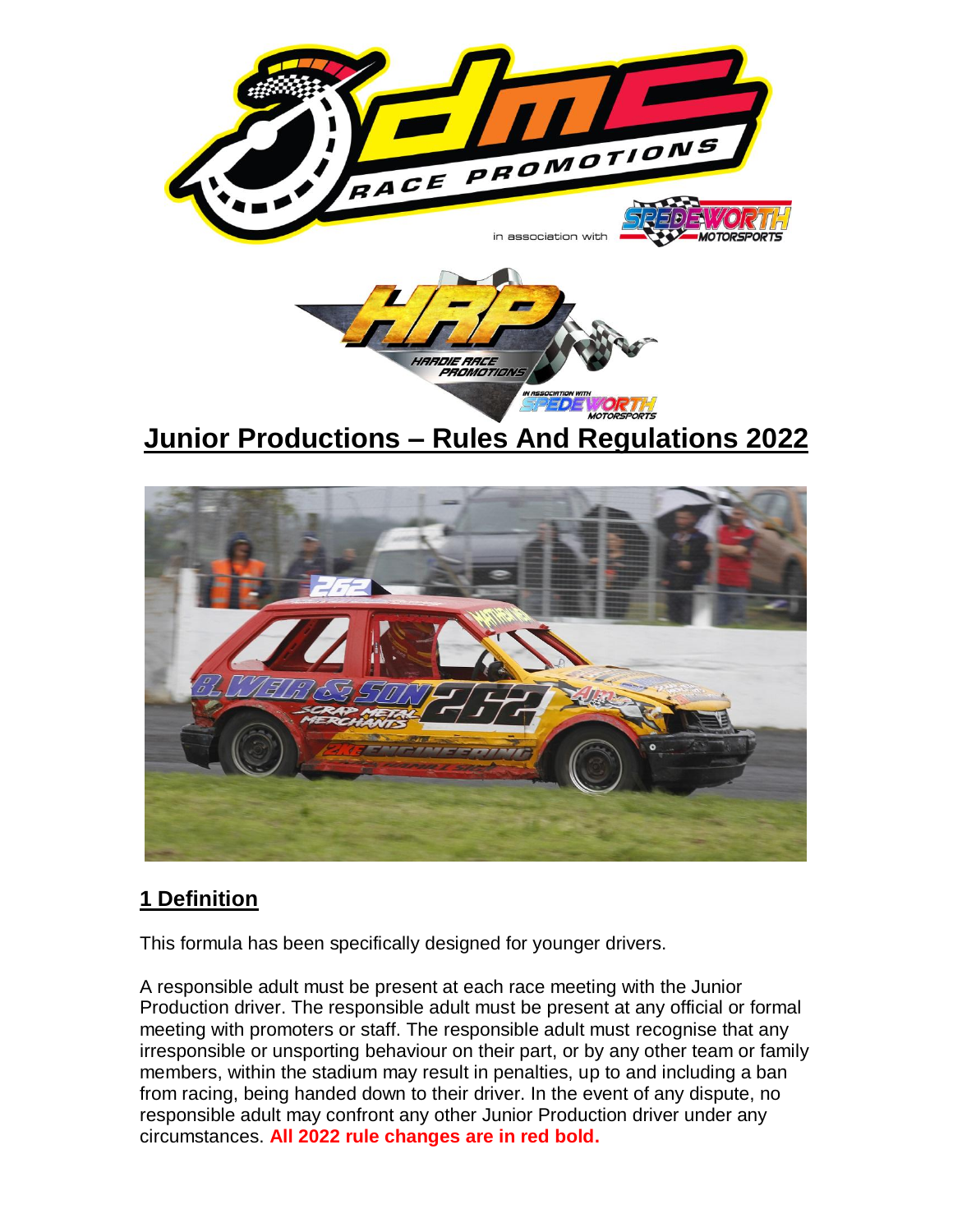

**Junior Productions – Rules And Regulations 2022**



### **1 Definition**

This formula has been specifically designed for younger drivers.

A responsible adult must be present at each race meeting with the Junior Production driver. The responsible adult must be present at any official or formal meeting with promoters or staff. The responsible adult must recognise that any irresponsible or unsporting behaviour on their part, or by any other team or family members, within the stadium may result in penalties, up to and including a ban from racing, being handed down to their driver. In the event of any dispute, no responsible adult may confront any other Junior Production driver under any circumstances. **All 2022 rule changes are in red bold.**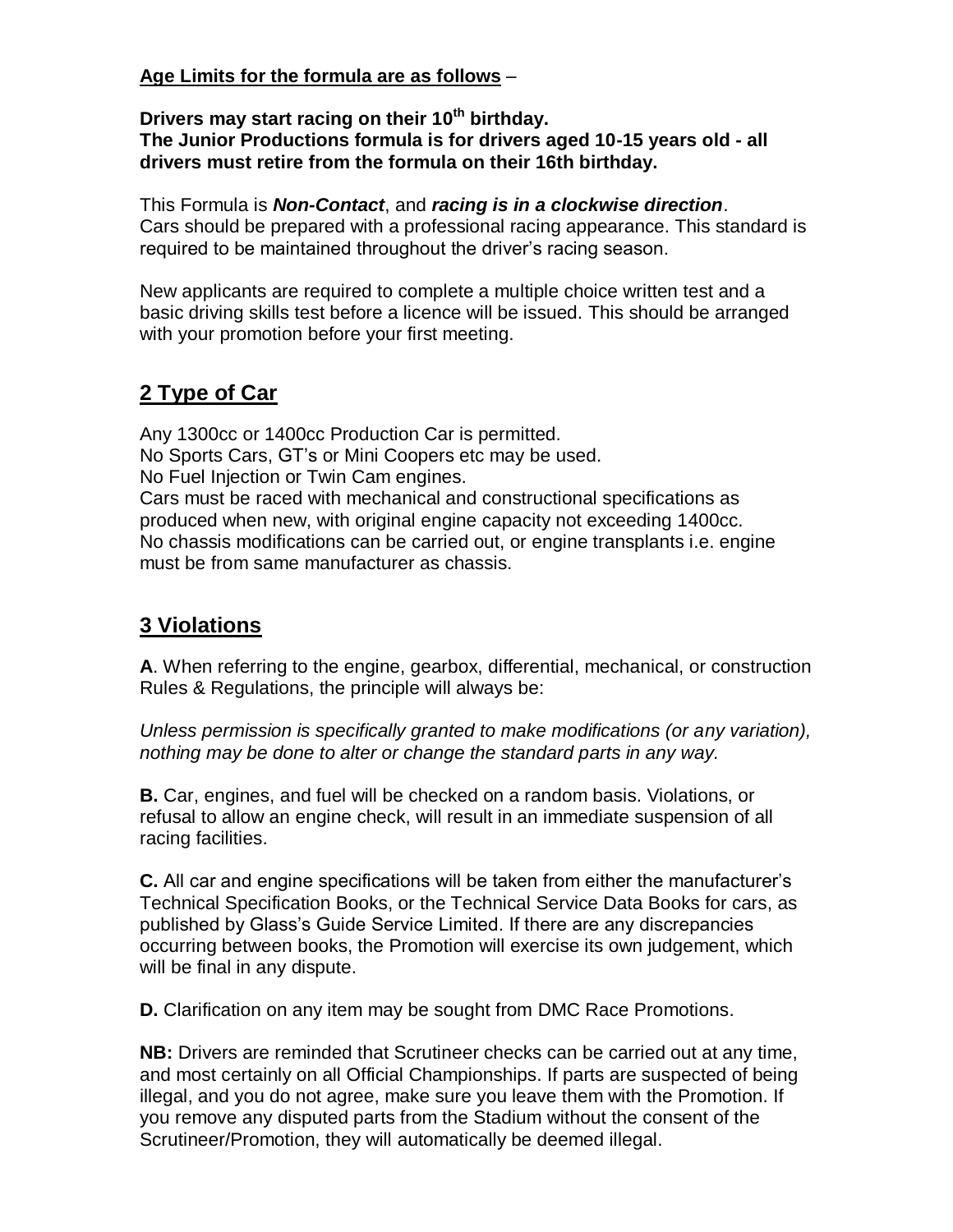#### **Age Limits for the formula are as follows** –

#### **Drivers may start racing on their 10 th birthday. The Junior Productions formula is for drivers aged 10-15 years old - all drivers must retire from the formula on their 16th birthday.**

This Formula is *Non-Contact*, and *racing is in a clockwise direction*. Cars should be prepared with a professional racing appearance. This standard is required to be maintained throughout the driver's racing season.

New applicants are required to complete a multiple choice written test and a basic driving skills test before a licence will be issued. This should be arranged with your promotion before your first meeting.

# **2 Type of Car**

Any 1300cc or 1400cc Production Car is permitted. No Sports Cars, GT's or Mini Coopers etc may be used. No Fuel Injection or Twin Cam engines. Cars must be raced with mechanical and constructional specifications as produced when new, with original engine capacity not exceeding 1400cc. No chassis modifications can be carried out, or engine transplants i.e. engine must be from same manufacturer as chassis.

# **3 Violations**

**A**. When referring to the engine, gearbox, differential, mechanical, or construction Rules & Regulations, the principle will always be:

*Unless permission is specifically granted to make modifications (or any variation), nothing may be done to alter or change the standard parts in any way.*

**B.** Car, engines, and fuel will be checked on a random basis. Violations, or refusal to allow an engine check, will result in an immediate suspension of all racing facilities.

**C.** All car and engine specifications will be taken from either the manufacturer's Technical Specification Books, or the Technical Service Data Books for cars, as published by Glass's Guide Service Limited. If there are any discrepancies occurring between books, the Promotion will exercise its own judgement, which will be final in any dispute.

**D.** Clarification on any item may be sought from DMC Race Promotions.

**NB:** Drivers are reminded that Scrutineer checks can be carried out at any time, and most certainly on all Official Championships. If parts are suspected of being illegal, and you do not agree, make sure you leave them with the Promotion. If you remove any disputed parts from the Stadium without the consent of the Scrutineer/Promotion, they will automatically be deemed illegal.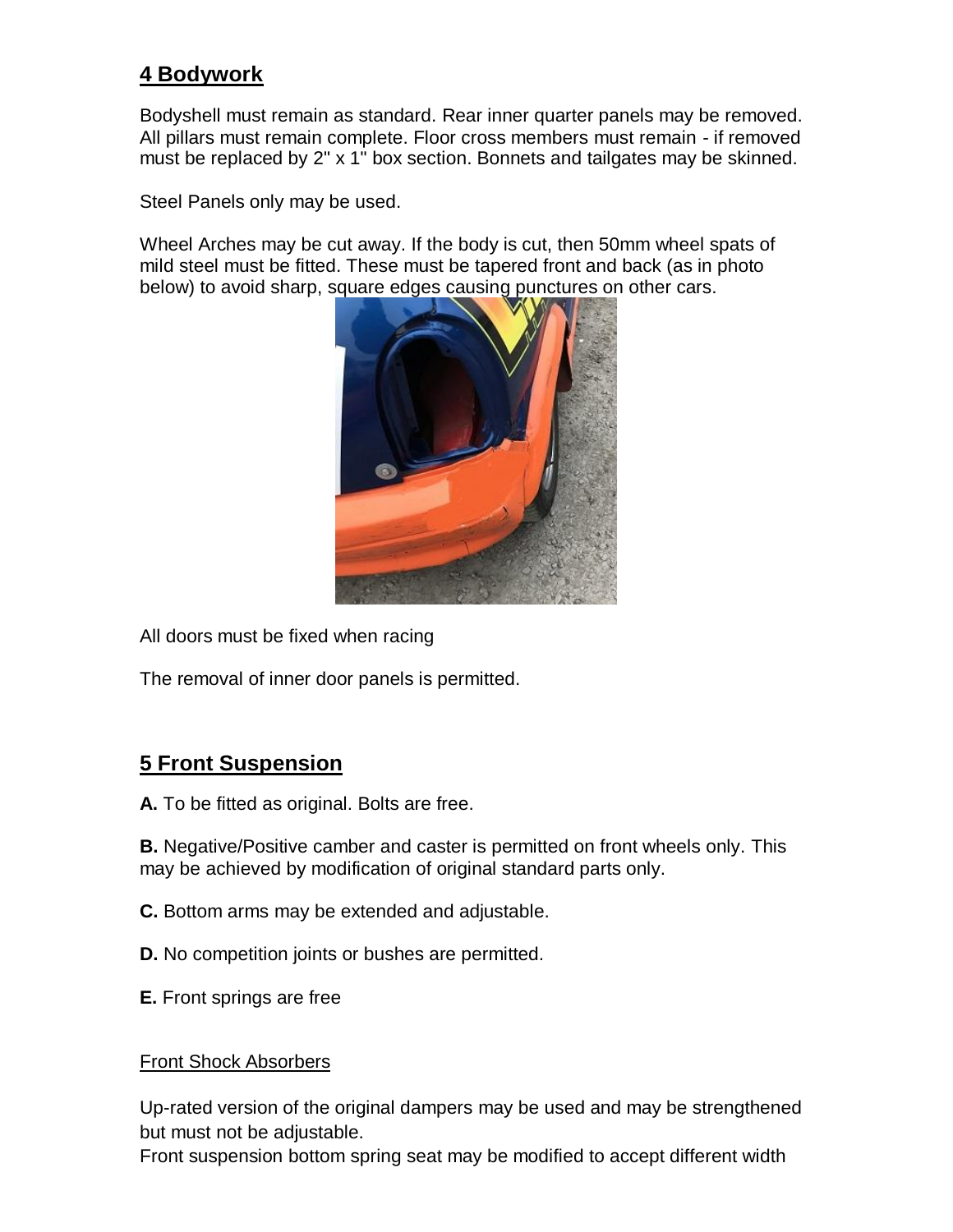# **4 Bodywork**

Bodyshell must remain as standard. Rear inner quarter panels may be removed. All pillars must remain complete. Floor cross members must remain - if removed must be replaced by 2" x 1" box section. Bonnets and tailgates may be skinned.

Steel Panels only may be used.

Wheel Arches may be cut away. If the body is cut, then 50mm wheel spats of mild steel must be fitted. These must be tapered front and back (as in photo below) to avoid sharp, square edges causing punctures on other cars.



All doors must be fixed when racing

The removal of inner door panels is permitted.

### **5 Front Suspension**

**A.** To be fitted as original. Bolts are free.

**B.** Negative/Positive camber and caster is permitted on front wheels only. This may be achieved by modification of original standard parts only.

- **C.** Bottom arms may be extended and adjustable.
- **D.** No competition joints or bushes are permitted.
- **E.** Front springs are free

#### Front Shock Absorbers

Up-rated version of the original dampers may be used and may be strengthened but must not be adjustable.

Front suspension bottom spring seat may be modified to accept different width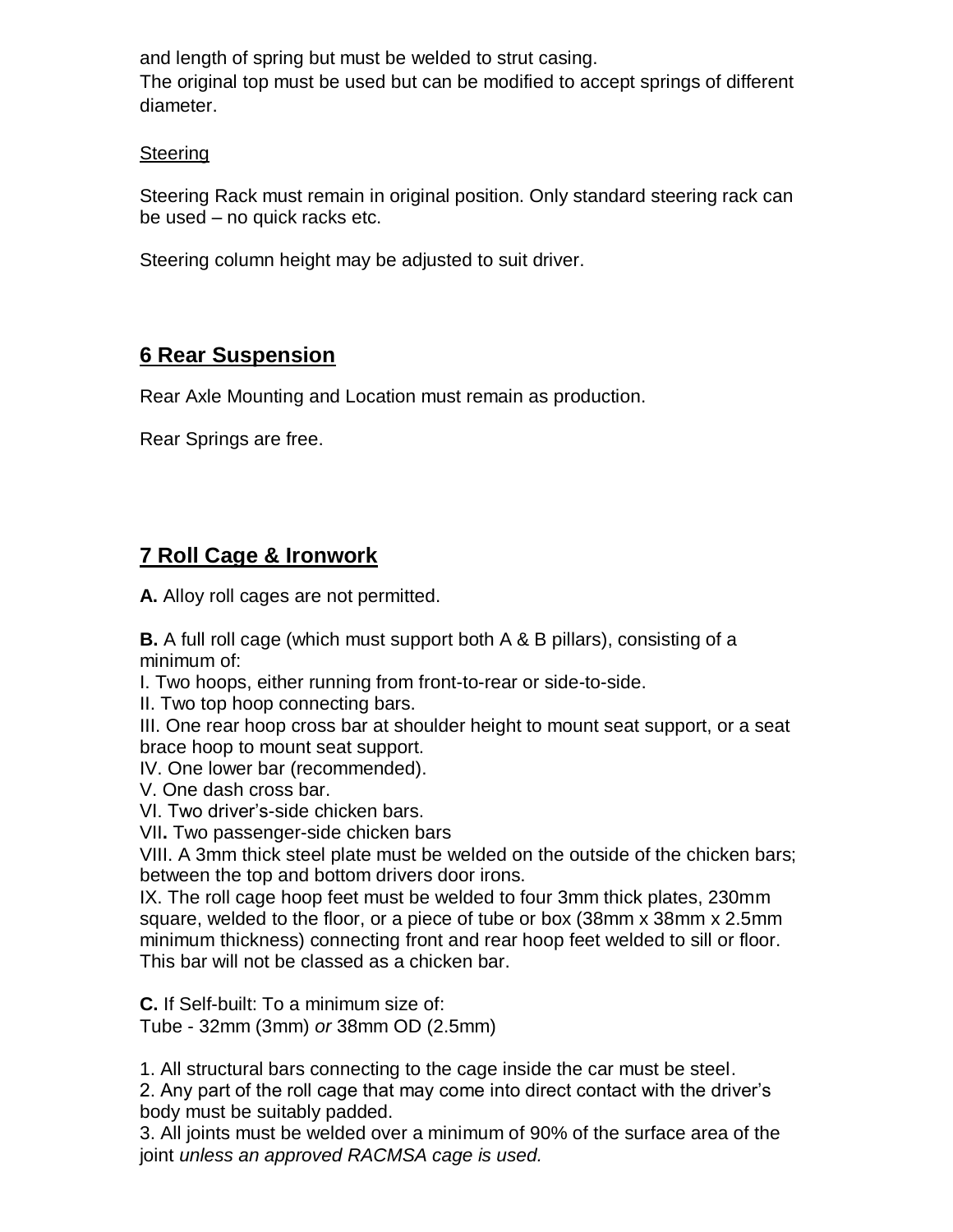and length of spring but must be welded to strut casing.

The original top must be used but can be modified to accept springs of different diameter.

### **Steering**

Steering Rack must remain in original position. Only standard steering rack can be used – no quick racks etc.

Steering column height may be adjusted to suit driver.

# **6 Rear Suspension**

Rear Axle Mounting and Location must remain as production.

Rear Springs are free.

# **7 Roll Cage & Ironwork**

**A.** Alloy roll cages are not permitted.

**B.** A full roll cage (which must support both A & B pillars), consisting of a minimum of:

I. Two hoops, either running from front-to-rear or side-to-side.

II. Two top hoop connecting bars.

III. One rear hoop cross bar at shoulder height to mount seat support, or a seat brace hoop to mount seat support.

IV. One lower bar (recommended).

V. One dash cross bar.

VI. Two driver's-side chicken bars.

VII**.** Two passenger-side chicken bars

VIII. A 3mm thick steel plate must be welded on the outside of the chicken bars; between the top and bottom drivers door irons.

IX. The roll cage hoop feet must be welded to four 3mm thick plates, 230mm square, welded to the floor, or a piece of tube or box (38mm x 38mm x 2.5mm minimum thickness) connecting front and rear hoop feet welded to sill or floor. This bar will not be classed as a chicken bar.

**C.** If Self-built: To a minimum size of: Tube - 32mm (3mm) *or* 38mm OD (2.5mm)

1. All structural bars connecting to the cage inside the car must be steel.

2. Any part of the roll cage that may come into direct contact with the driver's body must be suitably padded.

3. All joints must be welded over a minimum of 90% of the surface area of the joint *unless an approved RACMSA cage is used.*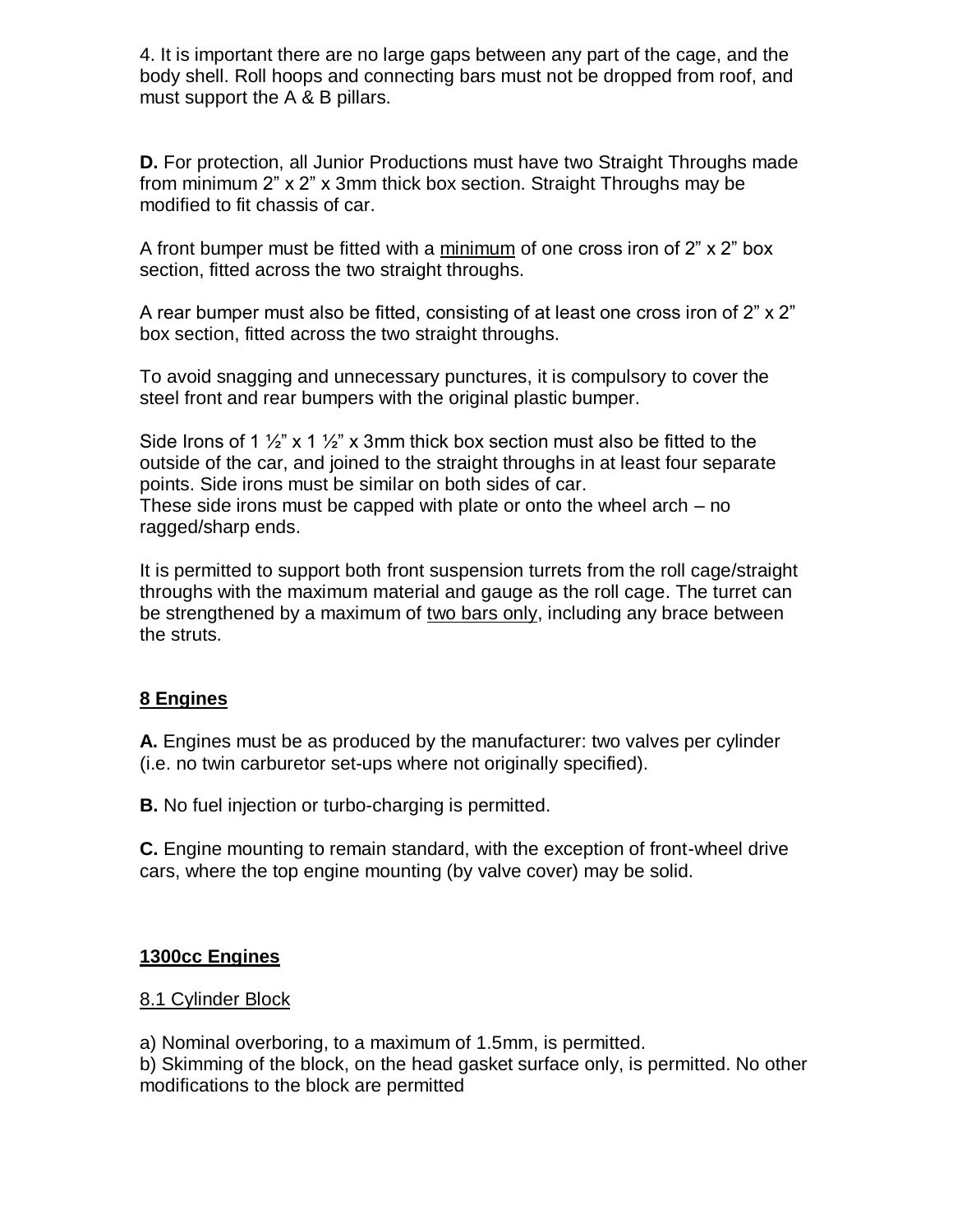4. It is important there are no large gaps between any part of the cage, and the body shell. Roll hoops and connecting bars must not be dropped from roof, and must support the A & B pillars.

**D.** For protection, all Junior Productions must have two Straight Throughs made from minimum 2" x 2" x 3mm thick box section. Straight Throughs may be modified to fit chassis of car.

A front bumper must be fitted with a minimum of one cross iron of 2" x 2" box section, fitted across the two straight throughs.

A rear bumper must also be fitted, consisting of at least one cross iron of 2" x 2" box section, fitted across the two straight throughs.

To avoid snagging and unnecessary punctures, it is compulsory to cover the steel front and rear bumpers with the original plastic bumper.

Side Irons of 1  $\frac{1}{2}$ " x 1  $\frac{1}{2}$ " x 3mm thick box section must also be fitted to the outside of the car, and joined to the straight throughs in at least four separate points. Side irons must be similar on both sides of car. These side irons must be capped with plate or onto the wheel arch – no ragged/sharp ends.

It is permitted to support both front suspension turrets from the roll cage/straight throughs with the maximum material and gauge as the roll cage. The turret can be strengthened by a maximum of two bars only, including any brace between the struts.

#### **8 Engines**

**A.** Engines must be as produced by the manufacturer: two valves per cylinder (i.e. no twin carburetor set-ups where not originally specified).

**B.** No fuel injection or turbo-charging is permitted.

**C.** Engine mounting to remain standard, with the exception of front-wheel drive cars, where the top engine mounting (by valve cover) may be solid.

#### **1300cc Engines**

#### 8.1 Cylinder Block

a) Nominal overboring, to a maximum of 1.5mm, is permitted.

b) Skimming of the block, on the head gasket surface only, is permitted. No other modifications to the block are permitted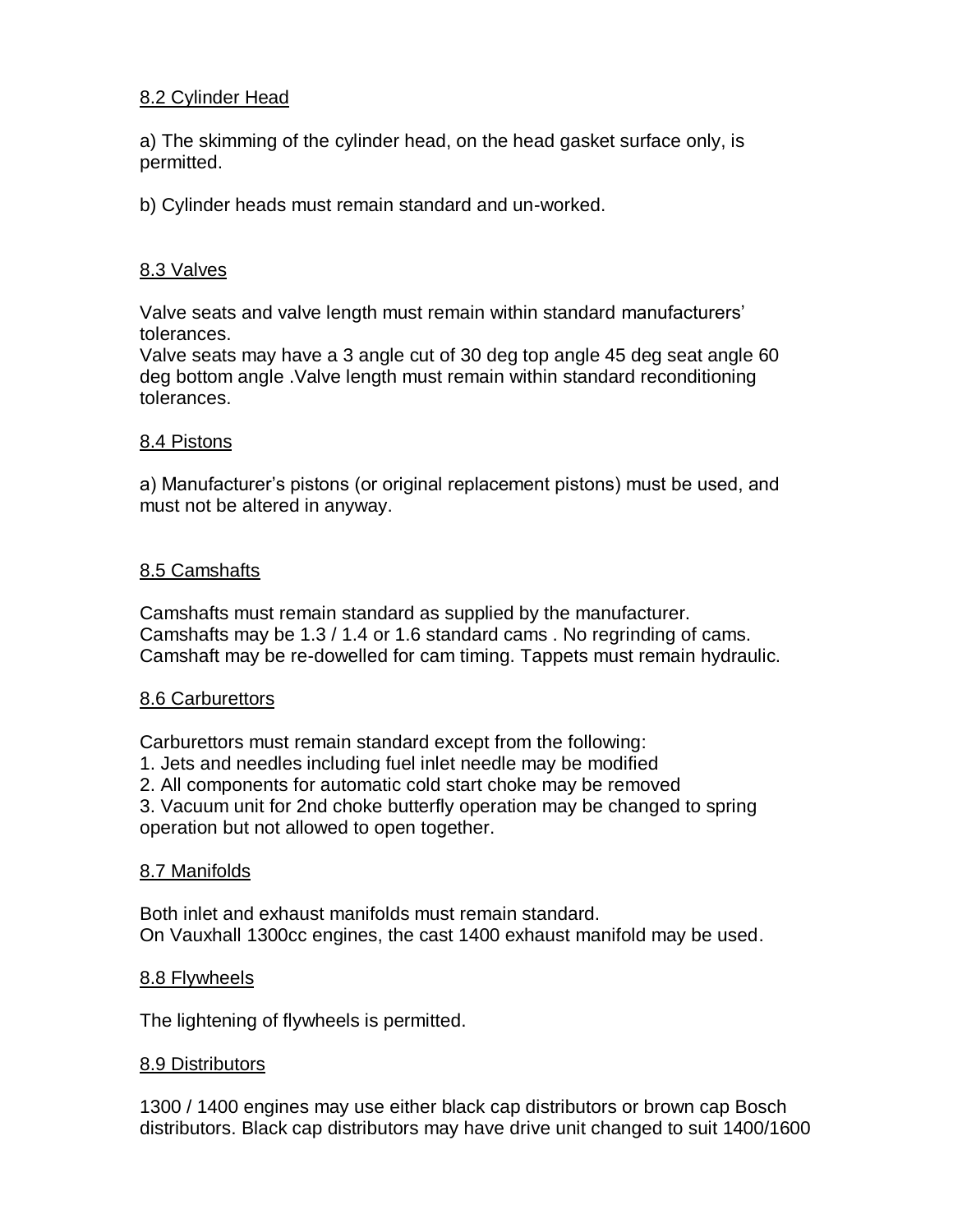#### 8.2 Cylinder Head

a) The skimming of the cylinder head, on the head gasket surface only, is permitted.

b) Cylinder heads must remain standard and un-worked.

#### 8.3 Valves

Valve seats and valve length must remain within standard manufacturers' tolerances.

Valve seats may have a 3 angle cut of 30 deg top angle 45 deg seat angle 60 deg bottom angle .Valve length must remain within standard reconditioning tolerances.

#### 8.4 Pistons

a) Manufacturer's pistons (or original replacement pistons) must be used, and must not be altered in anyway.

#### 8.5 Camshafts

Camshafts must remain standard as supplied by the manufacturer. Camshafts may be 1.3 / 1.4 or 1.6 standard cams . No regrinding of cams. Camshaft may be re-dowelled for cam timing. Tappets must remain hydraulic.

#### 8.6 Carburettors

Carburettors must remain standard except from the following:

1. Jets and needles including fuel inlet needle may be modified

2. All components for automatic cold start choke may be removed

3. Vacuum unit for 2nd choke butterfly operation may be changed to spring operation but not allowed to open together.

#### 8.7 Manifolds

Both inlet and exhaust manifolds must remain standard. On Vauxhall 1300cc engines, the cast 1400 exhaust manifold may be used.

#### 8.8 Flywheels

The lightening of flywheels is permitted.

#### 8.9 Distributors

1300 / 1400 engines may use either black cap distributors or brown cap Bosch distributors. Black cap distributors may have drive unit changed to suit 1400/1600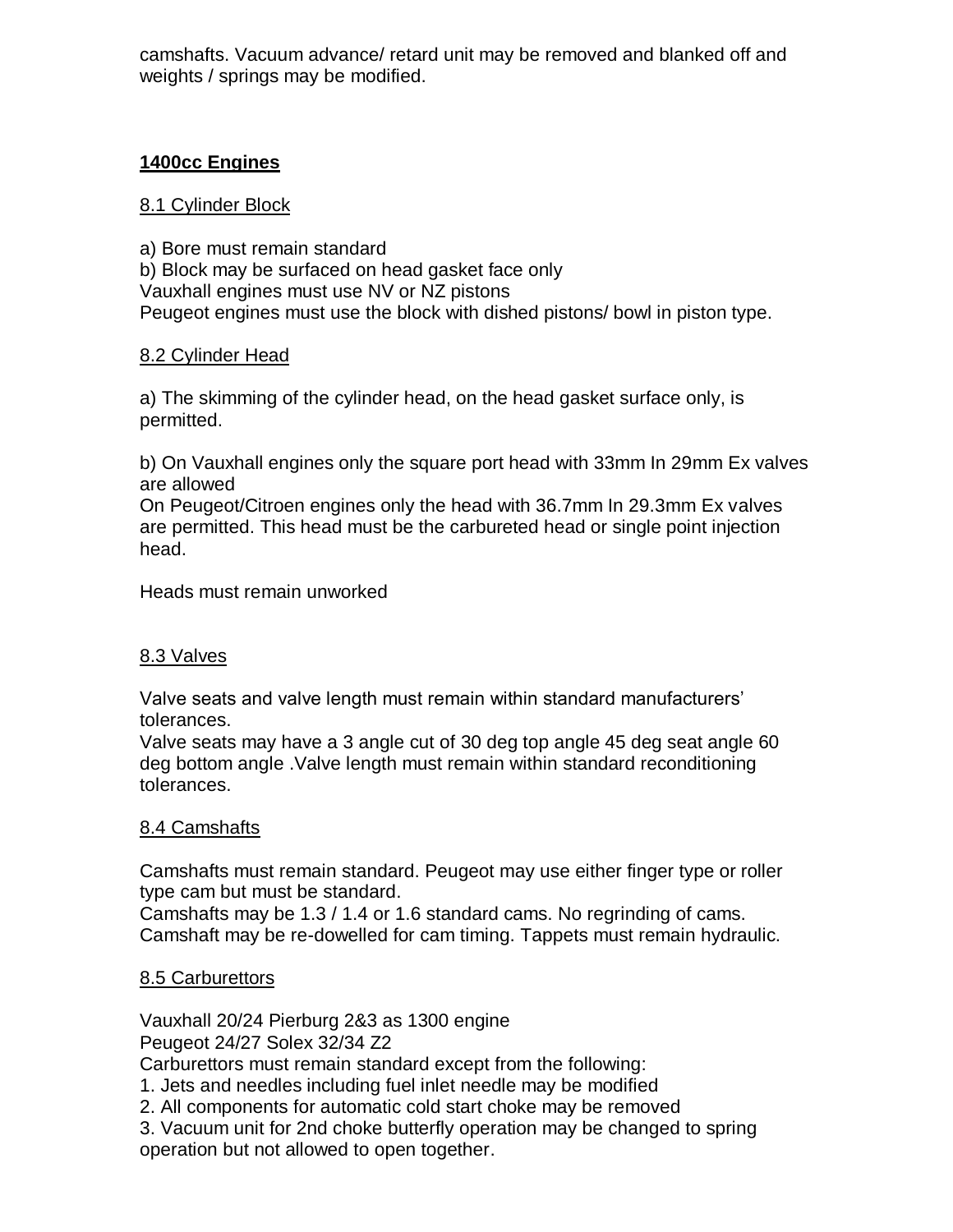camshafts. Vacuum advance/ retard unit may be removed and blanked off and weights / springs may be modified.

#### **1400cc Engines**

#### 8.1 Cylinder Block

a) Bore must remain standard b) Block may be surfaced on head gasket face only Vauxhall engines must use NV or NZ pistons Peugeot engines must use the block with dished pistons/ bowl in piston type.

#### 8.2 Cylinder Head

a) The skimming of the cylinder head, on the head gasket surface only, is permitted.

b) On Vauxhall engines only the square port head with 33mm In 29mm Ex valves are allowed

On Peugeot/Citroen engines only the head with 36.7mm In 29.3mm Ex valves are permitted. This head must be the carbureted head or single point injection head.

Heads must remain unworked

#### 8.3 Valves

Valve seats and valve length must remain within standard manufacturers' tolerances.

Valve seats may have a 3 angle cut of 30 deg top angle 45 deg seat angle 60 deg bottom angle .Valve length must remain within standard reconditioning tolerances.

#### 8.4 Camshafts

Camshafts must remain standard. Peugeot may use either finger type or roller type cam but must be standard.

Camshafts may be 1.3 / 1.4 or 1.6 standard cams. No regrinding of cams. Camshaft may be re-dowelled for cam timing. Tappets must remain hydraulic.

#### 8.5 Carburettors

Vauxhall 20/24 Pierburg 2&3 as 1300 engine Peugeot 24/27 Solex 32/34 Z2

Carburettors must remain standard except from the following:

1. Jets and needles including fuel inlet needle may be modified

2. All components for automatic cold start choke may be removed

3. Vacuum unit for 2nd choke butterfly operation may be changed to spring operation but not allowed to open together.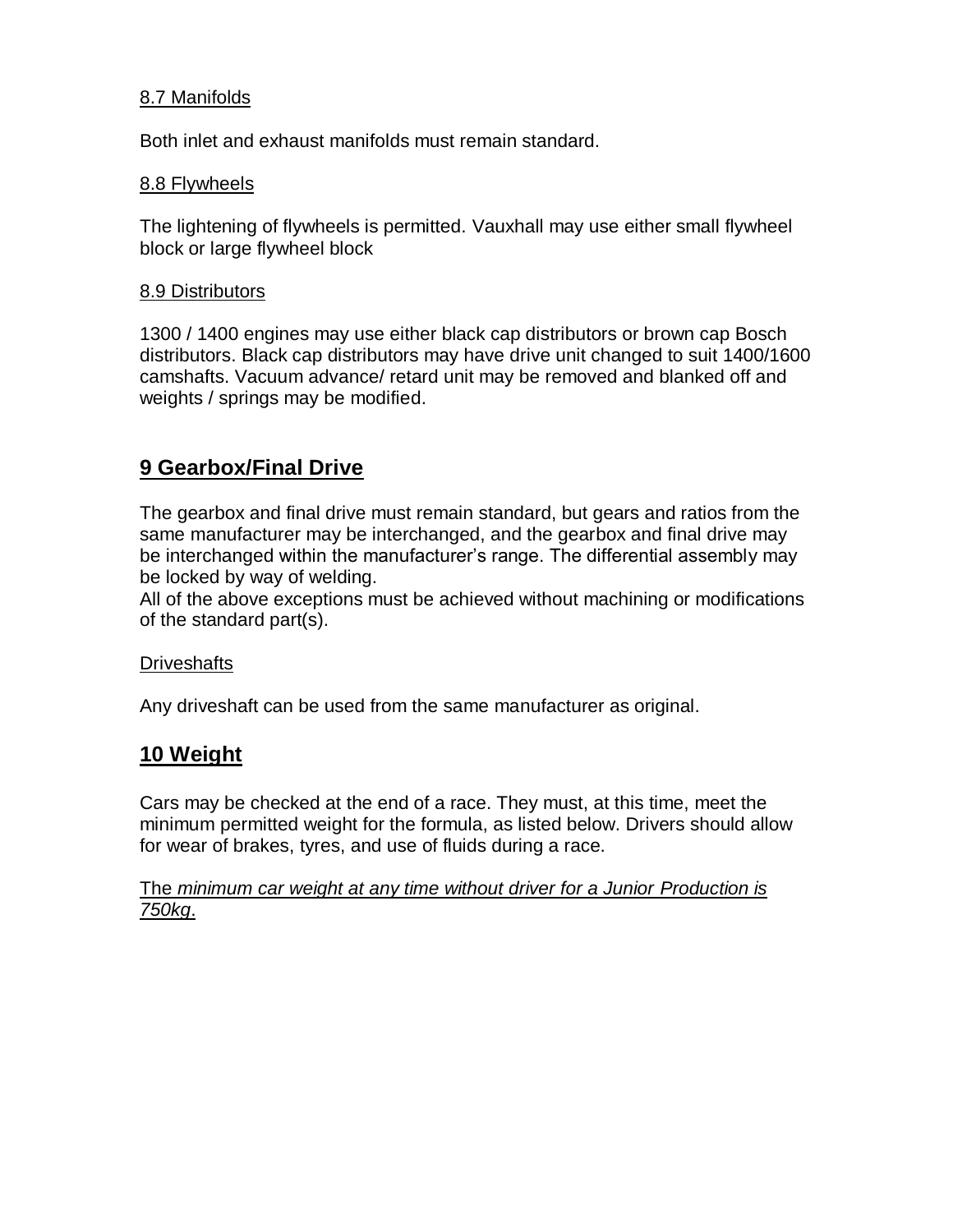#### 8.7 Manifolds

Both inlet and exhaust manifolds must remain standard.

#### 8.8 Flywheels

The lightening of flywheels is permitted. Vauxhall may use either small flywheel block or large flywheel block

#### 8.9 Distributors

1300 / 1400 engines may use either black cap distributors or brown cap Bosch distributors. Black cap distributors may have drive unit changed to suit 1400/1600 camshafts. Vacuum advance/ retard unit may be removed and blanked off and weights / springs may be modified.

### **9 Gearbox/Final Drive**

The gearbox and final drive must remain standard, but gears and ratios from the same manufacturer may be interchanged, and the gearbox and final drive may be interchanged within the manufacturer's range. The differential assembly may be locked by way of welding.

All of the above exceptions must be achieved without machining or modifications of the standard part(s).

#### **Driveshafts**

Any driveshaft can be used from the same manufacturer as original.

### **10 Weight**

Cars may be checked at the end of a race. They must, at this time, meet the minimum permitted weight for the formula, as listed below. Drivers should allow for wear of brakes, tyres, and use of fluids during a race.

#### The *minimum car weight at any time without driver for a Junior Production is 750kg*.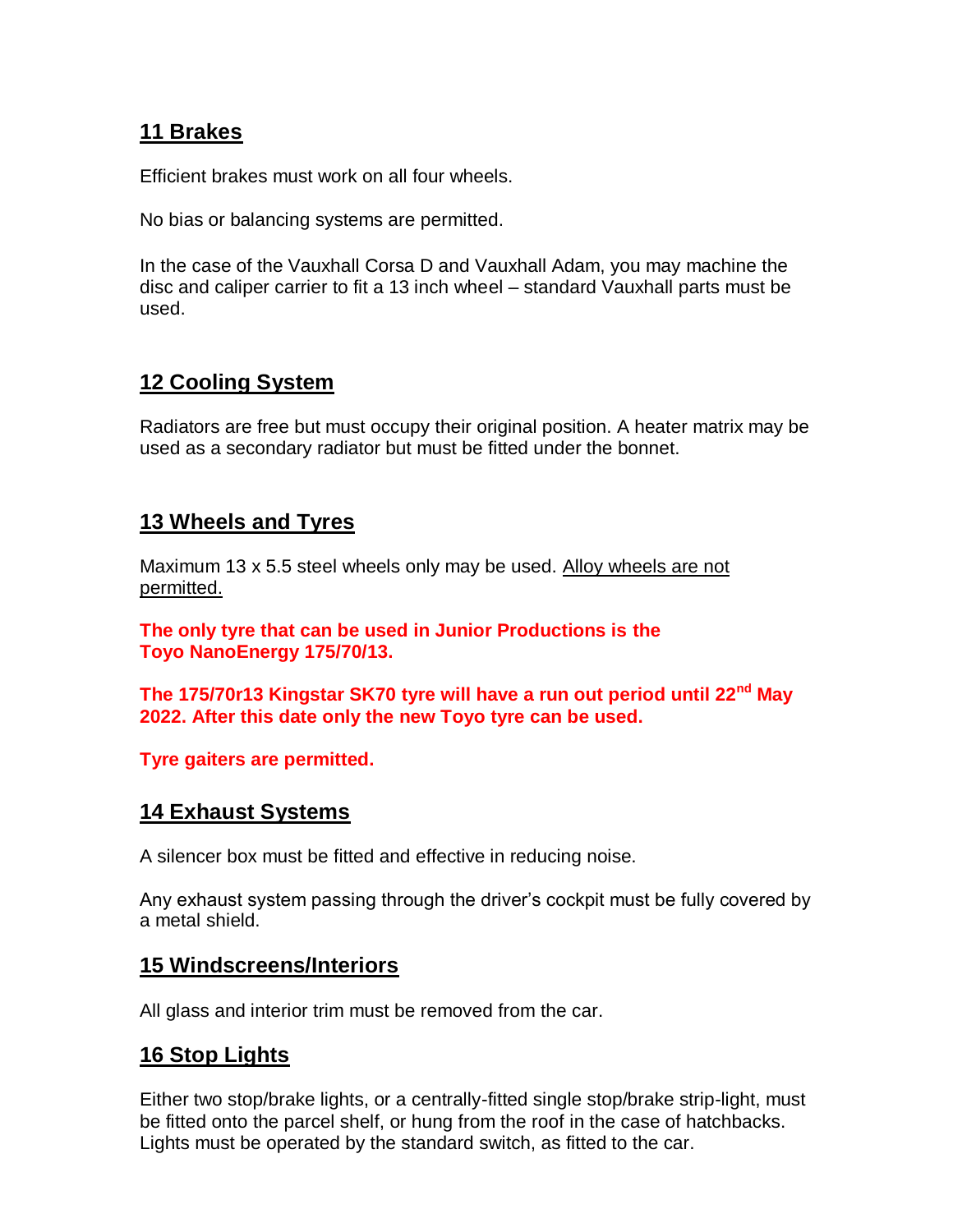### **11 Brakes**

Efficient brakes must work on all four wheels.

No bias or balancing systems are permitted.

In the case of the Vauxhall Corsa D and Vauxhall Adam, you may machine the disc and caliper carrier to fit a 13 inch wheel – standard Vauxhall parts must be used.

### **12 Cooling System**

Radiators are free but must occupy their original position. A heater matrix may be used as a secondary radiator but must be fitted under the bonnet.

### **13 Wheels and Tyres**

Maximum 13 x 5.5 steel wheels only may be used. Alloy wheels are not permitted.

**The only tyre that can be used in Junior Productions is the Toyo NanoEnergy 175/70/13.**

**The 175/70r13 Kingstar SK70 tyre will have a run out period until 22nd May 2022. After this date only the new Toyo tyre can be used.**

**Tyre gaiters are permitted.**

### **14 Exhaust Systems**

A silencer box must be fitted and effective in reducing noise.

Any exhaust system passing through the driver's cockpit must be fully covered by a metal shield.

### **15 Windscreens/Interiors**

All glass and interior trim must be removed from the car.

### **16 Stop Lights**

Either two stop/brake lights, or a centrally-fitted single stop/brake strip-light, must be fitted onto the parcel shelf, or hung from the roof in the case of hatchbacks. Lights must be operated by the standard switch, as fitted to the car.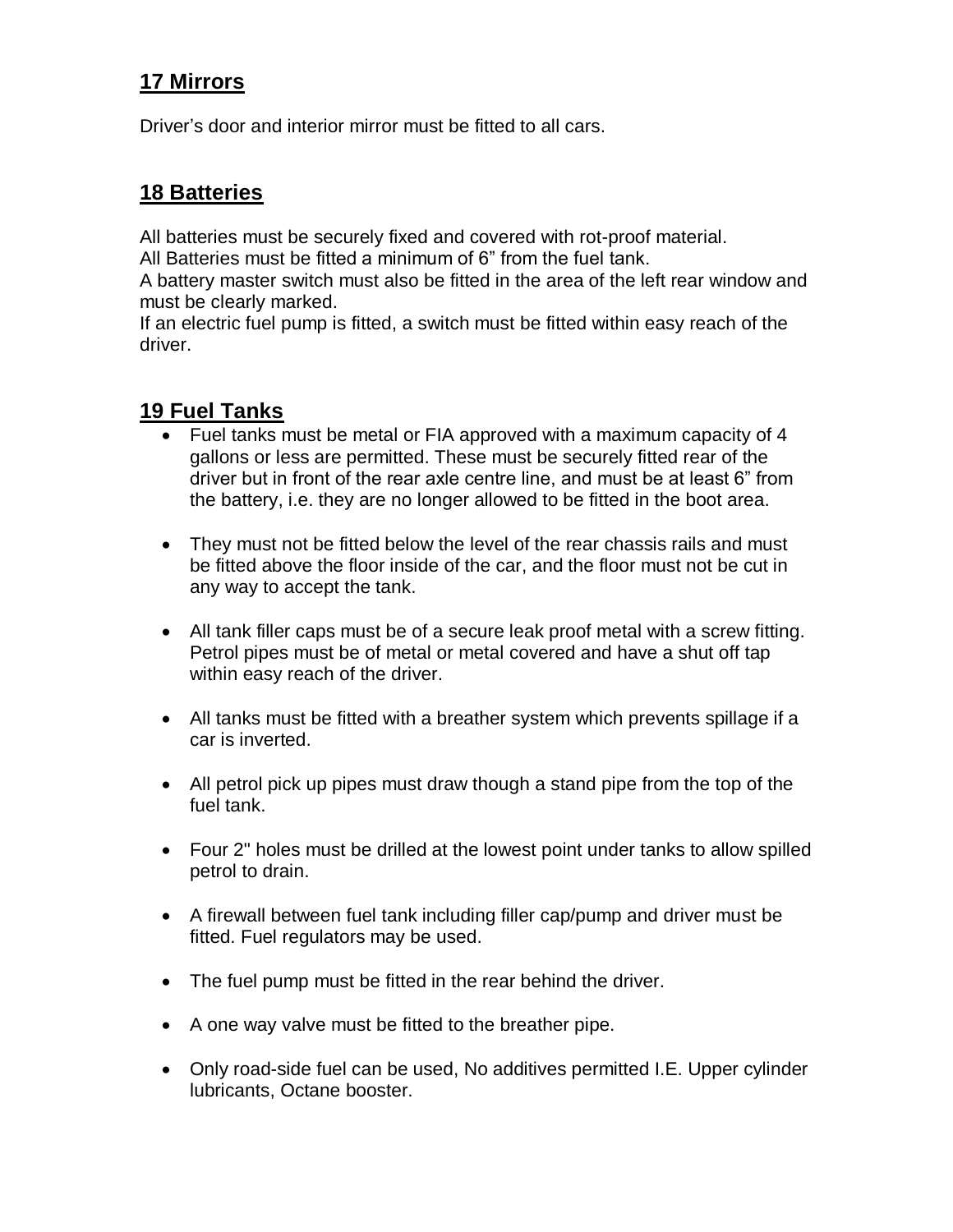## **17 Mirrors**

Driver's door and interior mirror must be fitted to all cars.

### **18 Batteries**

All batteries must be securely fixed and covered with rot-proof material. All Batteries must be fitted a minimum of 6" from the fuel tank.

A battery master switch must also be fitted in the area of the left rear window and must be clearly marked.

If an electric fuel pump is fitted, a switch must be fitted within easy reach of the driver.

### **19 Fuel Tanks**

- Fuel tanks must be metal or FIA approved with a maximum capacity of 4 gallons or less are permitted. These must be securely fitted rear of the driver but in front of the rear axle centre line, and must be at least 6" from the battery, i.e. they are no longer allowed to be fitted in the boot area.
- They must not be fitted below the level of the rear chassis rails and must be fitted above the floor inside of the car, and the floor must not be cut in any way to accept the tank.
- All tank filler caps must be of a secure leak proof metal with a screw fitting. Petrol pipes must be of metal or metal covered and have a shut off tap within easy reach of the driver.
- All tanks must be fitted with a breather system which prevents spillage if a car is inverted.
- All petrol pick up pipes must draw though a stand pipe from the top of the fuel tank.
- Four 2" holes must be drilled at the lowest point under tanks to allow spilled petrol to drain.
- A firewall between fuel tank including filler cap/pump and driver must be fitted. Fuel regulators may be used.
- The fuel pump must be fitted in the rear behind the driver.
- A one way valve must be fitted to the breather pipe.
- Only road-side fuel can be used, No additives permitted I.E. Upper cylinder lubricants, Octane booster.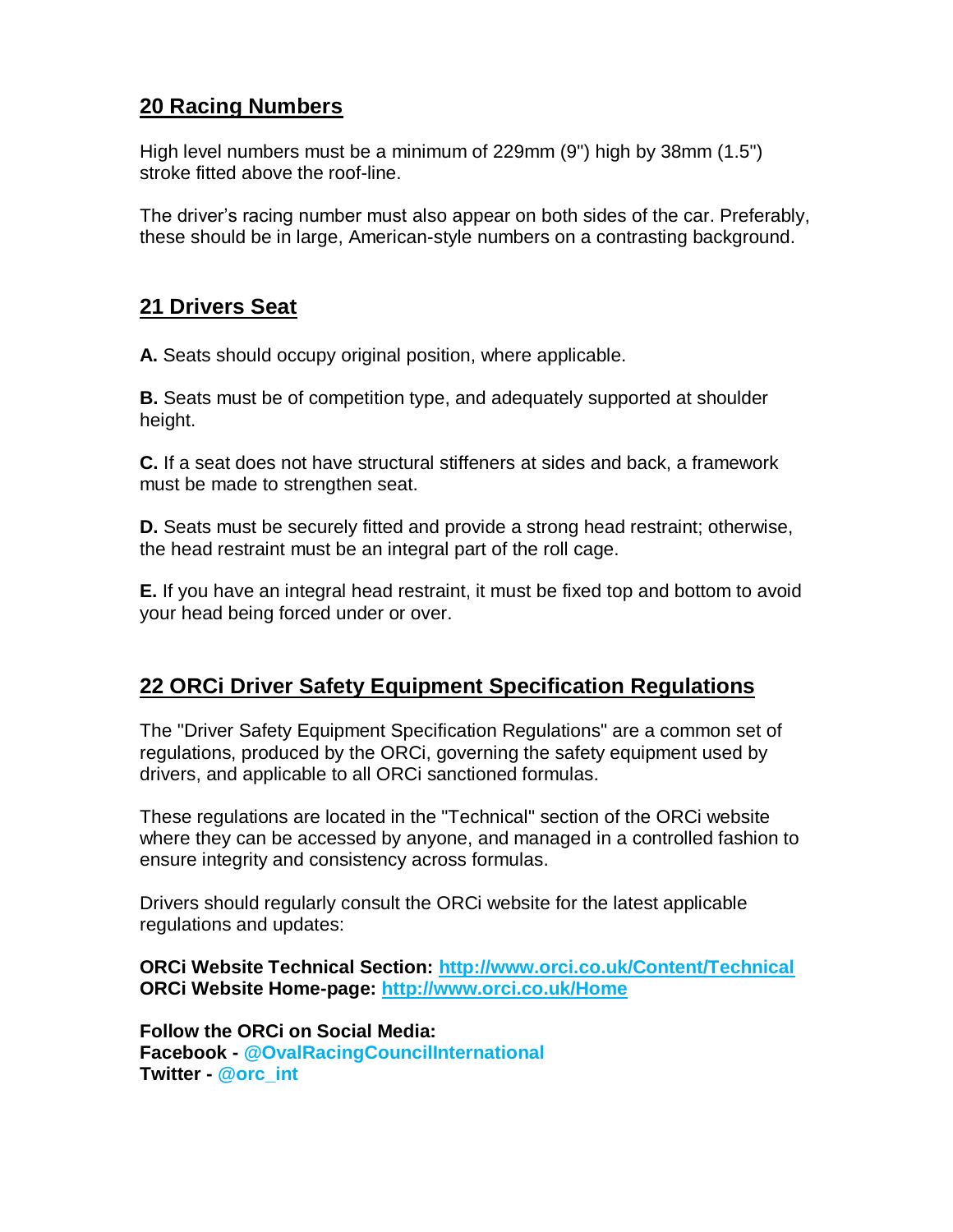## **20 Racing Numbers**

High level numbers must be a minimum of 229mm (9") high by 38mm (1.5") stroke fitted above the roof-line.

The driver's racing number must also appear on both sides of the car. Preferably, these should be in large, American-style numbers on a contrasting background.

### **21 Drivers Seat**

**A.** Seats should occupy original position, where applicable.

**B.** Seats must be of competition type, and adequately supported at shoulder height.

**C.** If a seat does not have structural stiffeners at sides and back, a framework must be made to strengthen seat.

**D.** Seats must be securely fitted and provide a strong head restraint; otherwise, the head restraint must be an integral part of the roll cage.

**E.** If you have an integral head restraint, it must be fixed top and bottom to avoid your head being forced under or over.

# **22 ORCi Driver Safety Equipment Specification Regulations**

The "Driver Safety Equipment Specification Regulations" are a common set of regulations, produced by the ORCi, governing the safety equipment used by drivers, and applicable to all ORCi sanctioned formulas.

These regulations are located in the "Technical" section of the ORCi website where they can be accessed by anyone, and managed in a controlled fashion to ensure integrity and consistency across formulas.

Drivers should regularly consult the ORCi website for the latest applicable regulations and updates:

**ORCi Website Technical Section: http://www.orci.co.uk/Content/Technical ORCi Website Home-page: http://www.orci.co.uk/Home**

**Follow the ORCi on Social Media: Facebook - @OvalRacingCouncilInternational Twitter - @orc\_int**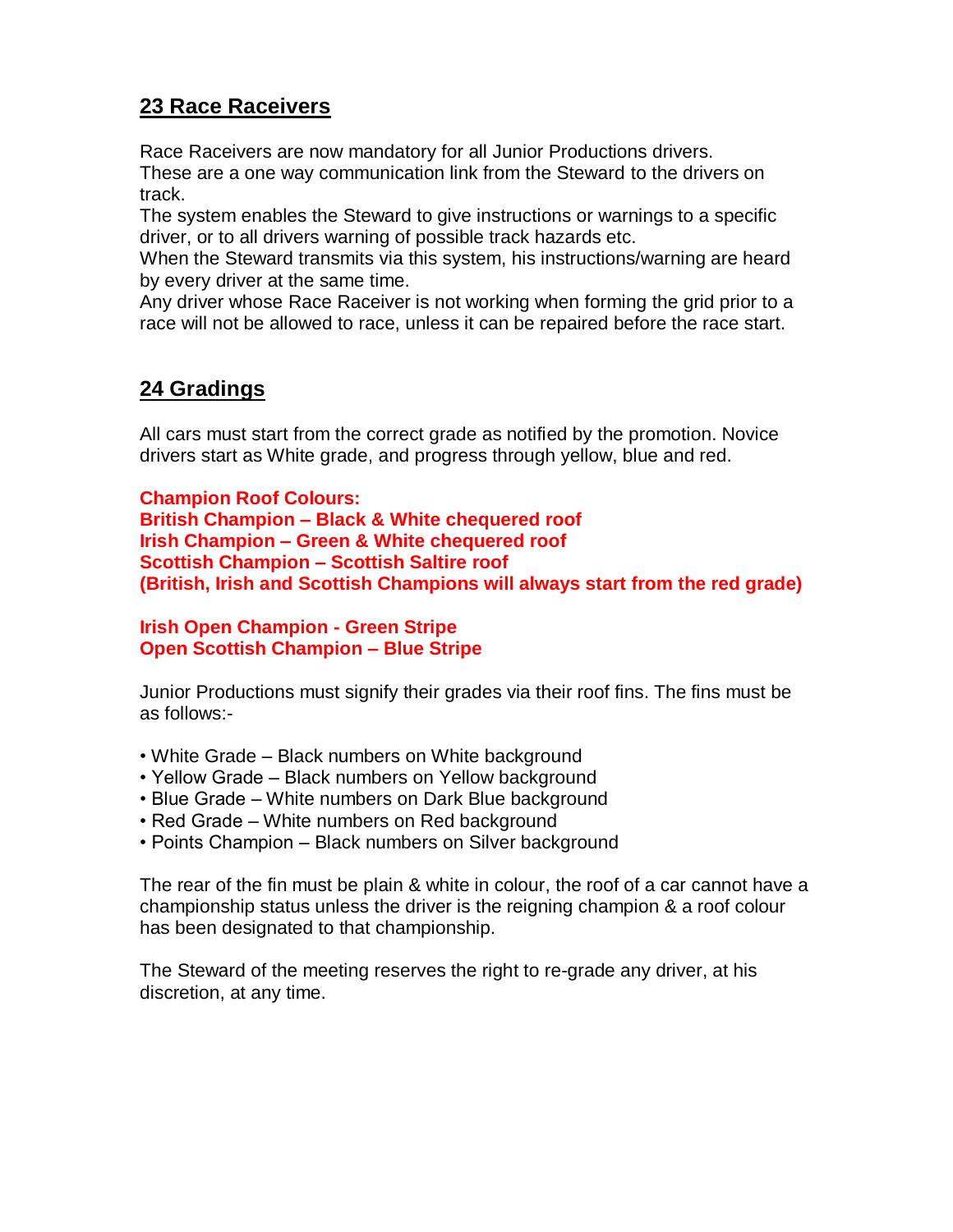# **23 Race Raceivers**

Race Raceivers are now mandatory for all Junior Productions drivers. These are a one way communication link from the Steward to the drivers on track.

The system enables the Steward to give instructions or warnings to a specific driver, or to all drivers warning of possible track hazards etc.

When the Steward transmits via this system, his instructions/warning are heard by every driver at the same time.

Any driver whose Race Raceiver is not working when forming the grid prior to a race will not be allowed to race, unless it can be repaired before the race start.

# **24 Gradings**

All cars must start from the correct grade as notified by the promotion. Novice drivers start as White grade, and progress through yellow, blue and red.

#### **Champion Roof Colours:**

**British Champion – Black & White chequered roof Irish Champion – Green & White chequered roof Scottish Champion – Scottish Saltire roof (British, Irish and Scottish Champions will always start from the red grade)**

**Irish Open Champion - Green Stripe Open Scottish Champion – Blue Stripe**

Junior Productions must signify their grades via their roof fins. The fins must be as follows:-

- White Grade Black numbers on White background
- Yellow Grade Black numbers on Yellow background
- Blue Grade White numbers on Dark Blue background
- Red Grade White numbers on Red background
- Points Champion Black numbers on Silver background

The rear of the fin must be plain & white in colour, the roof of a car cannot have a championship status unless the driver is the reigning champion & a roof colour has been designated to that championship.

The Steward of the meeting reserves the right to re-grade any driver, at his discretion, at any time.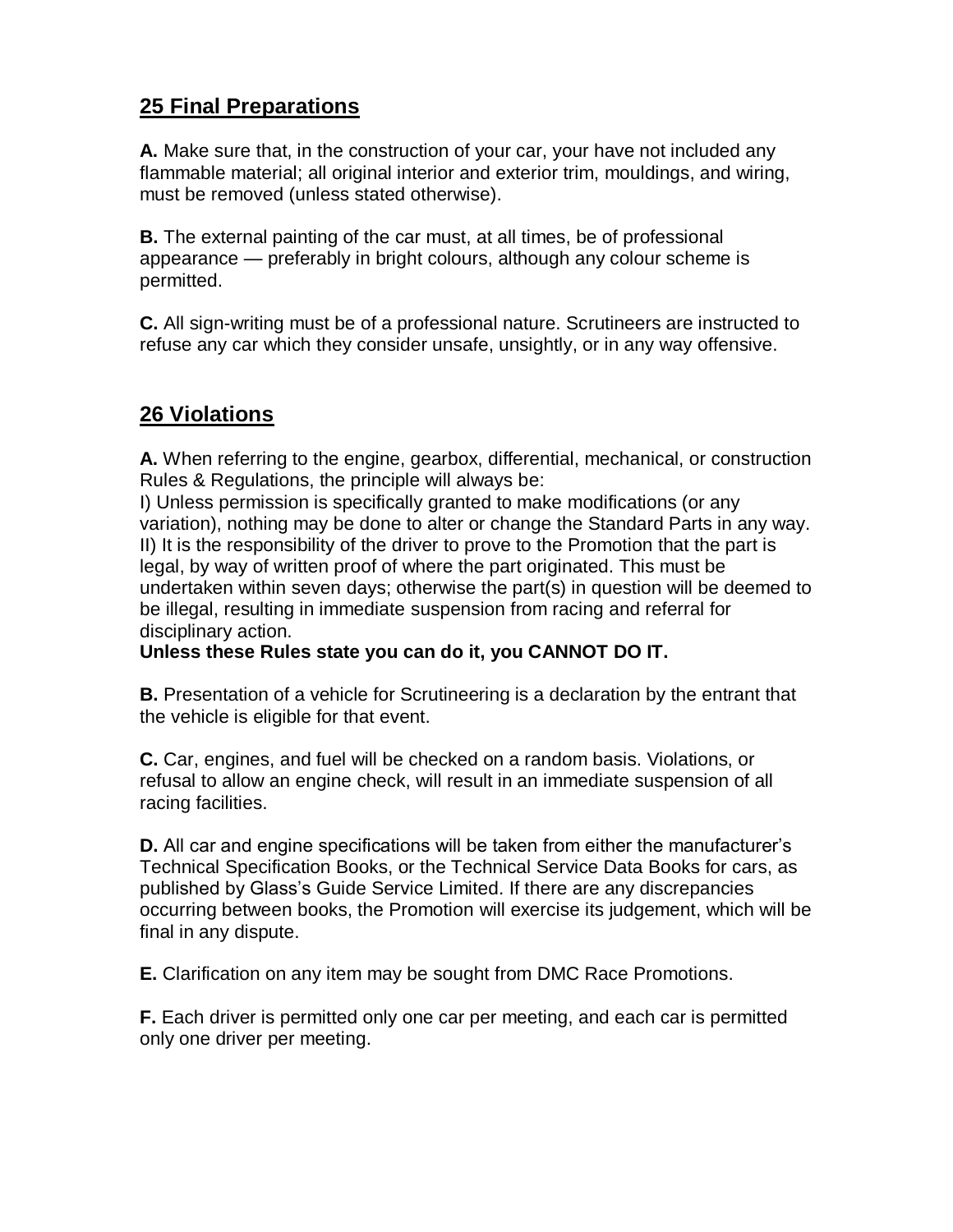# **25 Final Preparations**

**A.** Make sure that, in the construction of your car, your have not included any flammable material; all original interior and exterior trim, mouldings, and wiring, must be removed (unless stated otherwise).

**B.** The external painting of the car must, at all times, be of professional appearance — preferably in bright colours, although any colour scheme is permitted.

**C.** All sign-writing must be of a professional nature. Scrutineers are instructed to refuse any car which they consider unsafe, unsightly, or in any way offensive.

# **26 Violations**

**A.** When referring to the engine, gearbox, differential, mechanical, or construction Rules & Regulations, the principle will always be:

I) Unless permission is specifically granted to make modifications (or any variation), nothing may be done to alter or change the Standard Parts in any way. II) It is the responsibility of the driver to prove to the Promotion that the part is legal, by way of written proof of where the part originated. This must be undertaken within seven days; otherwise the part(s) in question will be deemed to be illegal, resulting in immediate suspension from racing and referral for disciplinary action.

**Unless these Rules state you can do it, you CANNOT DO IT.**

**B.** Presentation of a vehicle for Scrutineering is a declaration by the entrant that the vehicle is eligible for that event.

**C.** Car, engines, and fuel will be checked on a random basis. Violations, or refusal to allow an engine check, will result in an immediate suspension of all racing facilities.

**D.** All car and engine specifications will be taken from either the manufacturer's Technical Specification Books, or the Technical Service Data Books for cars, as published by Glass's Guide Service Limited. If there are any discrepancies occurring between books, the Promotion will exercise its judgement, which will be final in any dispute.

**E.** Clarification on any item may be sought from DMC Race Promotions.

**F.** Each driver is permitted only one car per meeting, and each car is permitted only one driver per meeting.